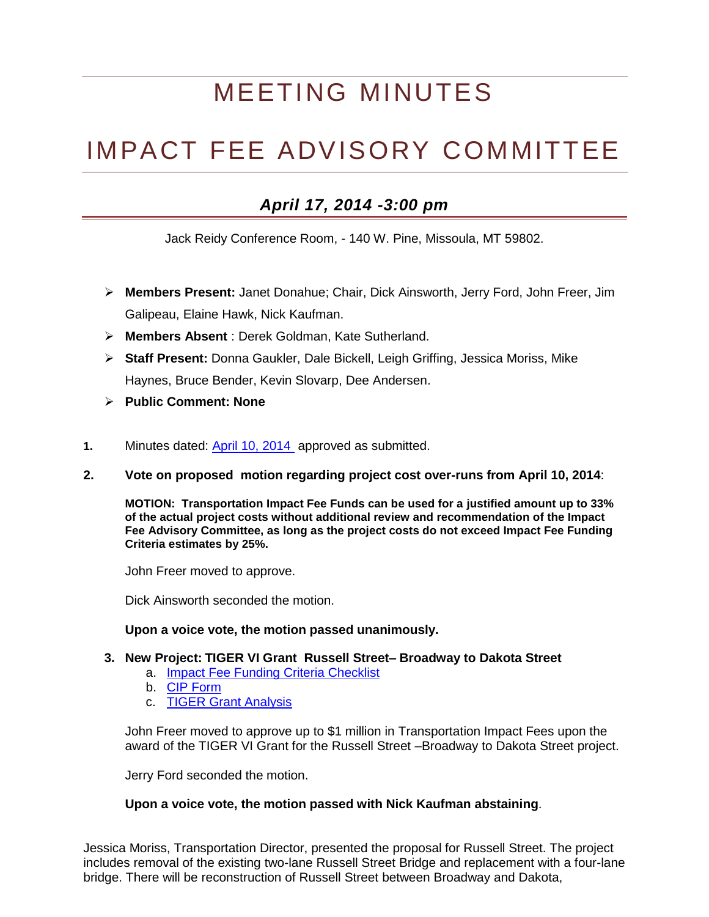# MEETING MINUTES

## IMPACT FEE ADVISORY COMMITTEE

### *April 17, 2014 -3:00 pm*

Jack Reidy Conference Room, - 140 W. Pine, Missoula, MT 59802.

- **Members Present:** Janet Donahue; Chair, Dick Ainsworth, Jerry Ford, John Freer, Jim Galipeau, Elaine Hawk, Nick Kaufman.
- **Members Absent** : Derek Goldman, Kate Sutherland.
- **Staff Present:** Donna Gaukler, Dale Bickell, Leigh Griffing, Jessica Moriss, Mike Haynes, Bruce Bender, Kevin Slovarp, Dee Andersen.
- **Public Comment: None**
- **1.** Minutes dated: [April 10, 2014](http://www.ci.missoula.mt.us/DocumentCenter/View/25491) approved as submitted.
- **2. Vote on proposed motion regarding project cost over-runs from April 10, 2014**:

**MOTION: Transportation Impact Fee Funds can be used for a justified amount up to 33% of the actual project costs without additional review and recommendation of the Impact Fee Advisory Committee, as long as the project costs do not exceed Impact Fee Funding Criteria estimates by 25%.**

John Freer moved to approve.

Dick Ainsworth seconded the motion.

#### **Upon a voice vote, the motion passed unanimously.**

#### **3. New Project: TIGER VI Grant Russell Street– Broadway to Dakota Street**

- a. Impact Fee Funding [Criteria Checklist](http://www.ci.missoula.mt.us/DocumentCenter/View/25492)
- b. [CIP Form](http://www.ci.missoula.mt.us/DocumentCenter/View/25493)
- c. [TIGER Grant Analysis](http://www.ci.missoula.mt.us/DocumentCenter/View/25513)

John Freer moved to approve up to \$1 million in Transportation Impact Fees upon the award of the TIGER VI Grant for the Russell Street –Broadway to Dakota Street project.

Jerry Ford seconded the motion.

#### **Upon a voice vote, the motion passed with Nick Kaufman abstaining**.

Jessica Moriss, Transportation Director, presented the proposal for Russell Street. The project includes removal of the existing two-lane Russell Street Bridge and replacement with a four-lane bridge. There will be reconstruction of Russell Street between Broadway and Dakota,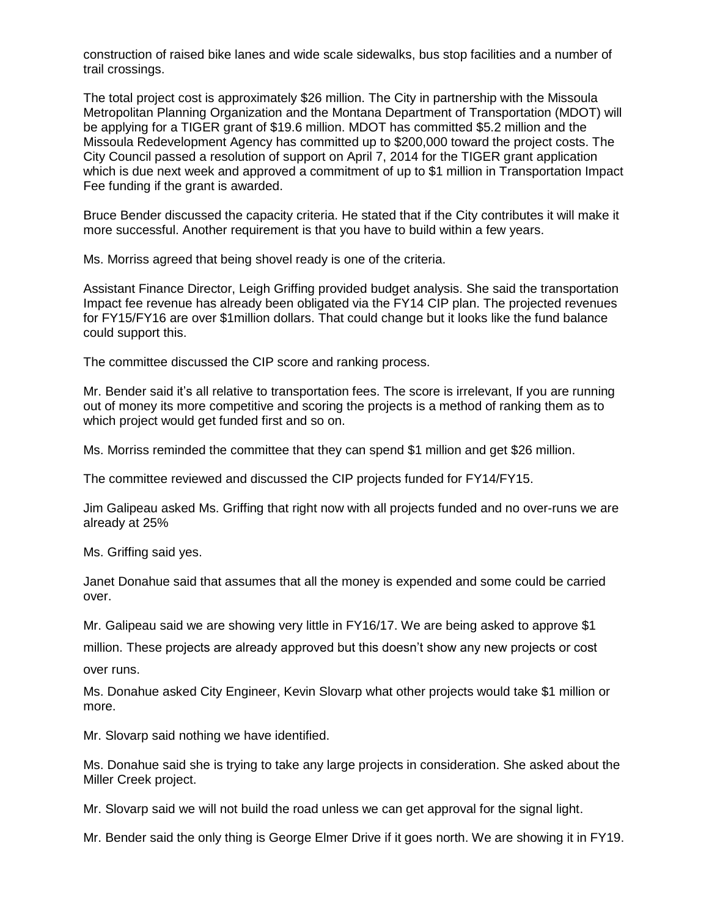construction of raised bike lanes and wide scale sidewalks, bus stop facilities and a number of trail crossings.

The total project cost is approximately \$26 million. The City in partnership with the Missoula Metropolitan Planning Organization and the Montana Department of Transportation (MDOT) will be applying for a TIGER grant of \$19.6 million. MDOT has committed \$5.2 million and the Missoula Redevelopment Agency has committed up to \$200,000 toward the project costs. The City Council passed a resolution of support on April 7, 2014 for the TIGER grant application which is due next week and approved a commitment of up to \$1 million in Transportation Impact Fee funding if the grant is awarded.

Bruce Bender discussed the capacity criteria. He stated that if the City contributes it will make it more successful. Another requirement is that you have to build within a few years.

Ms. Morriss agreed that being shovel ready is one of the criteria.

Assistant Finance Director, Leigh Griffing provided budget analysis. She said the transportation Impact fee revenue has already been obligated via the FY14 CIP plan. The projected revenues for FY15/FY16 are over \$1million dollars. That could change but it looks like the fund balance could support this.

The committee discussed the CIP score and ranking process.

Mr. Bender said it's all relative to transportation fees. The score is irrelevant, If you are running out of money its more competitive and scoring the projects is a method of ranking them as to which project would get funded first and so on.

Ms. Morriss reminded the committee that they can spend \$1 million and get \$26 million.

The committee reviewed and discussed the CIP projects funded for FY14/FY15.

Jim Galipeau asked Ms. Griffing that right now with all projects funded and no over-runs we are already at 25%

Ms. Griffing said yes.

Janet Donahue said that assumes that all the money is expended and some could be carried over.

Mr. Galipeau said we are showing very little in FY16/17. We are being asked to approve \$1

million. These projects are already approved but this doesn't show any new projects or cost over runs.

Ms. Donahue asked City Engineer, Kevin Slovarp what other projects would take \$1 million or more.

Mr. Slovarp said nothing we have identified.

Ms. Donahue said she is trying to take any large projects in consideration. She asked about the Miller Creek project.

Mr. Slovarp said we will not build the road unless we can get approval for the signal light.

Mr. Bender said the only thing is George Elmer Drive if it goes north. We are showing it in FY19.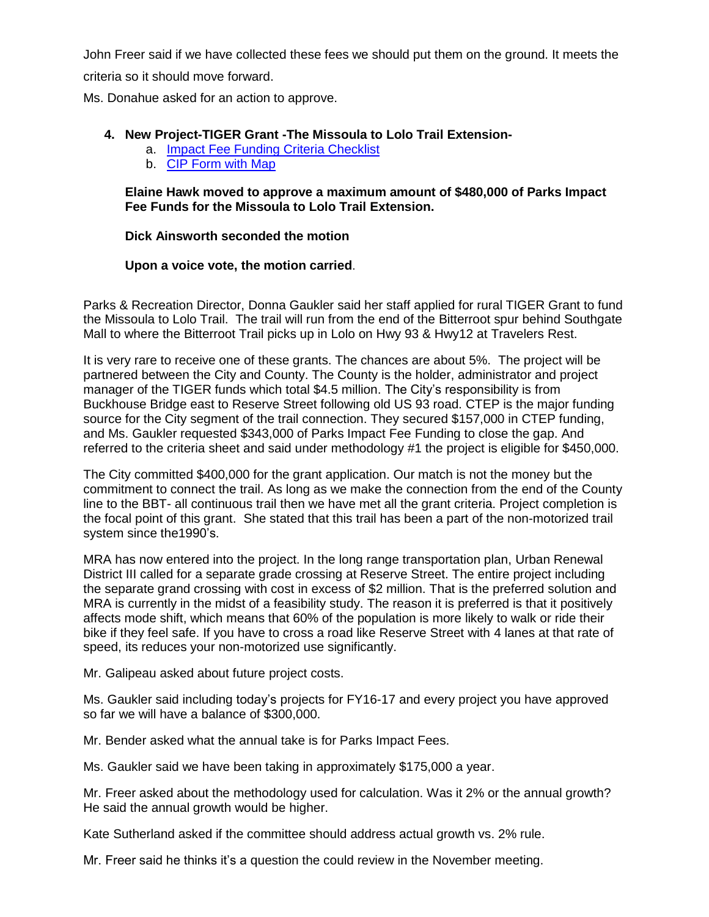John Freer said if we have collected these fees we should put them on the ground. It meets the criteria so it should move forward.

Ms. Donahue asked for an action to approve.

#### **4. New Project-TIGER Grant -The Missoula to Lolo Trail Extension-**

- a. [Impact Fee Funding Criteria Checklist](http://www.ci.missoula.mt.us/DocumentCenter/View/25494)
- b. [CIP Form with Map](http://www.ci.missoula.mt.us/DocumentCenter/View/25495)

#### **Elaine Hawk moved to approve a maximum amount of \$480,000 of Parks Impact Fee Funds for the Missoula to Lolo Trail Extension.**

#### **Dick Ainsworth seconded the motion**

#### **Upon a voice vote, the motion carried**.

Parks & Recreation Director, Donna Gaukler said her staff applied for rural TIGER Grant to fund the Missoula to Lolo Trail. The trail will run from the end of the Bitterroot spur behind Southgate Mall to where the Bitterroot Trail picks up in Lolo on Hwy 93 & Hwy12 at Travelers Rest.

It is very rare to receive one of these grants. The chances are about 5%. The project will be partnered between the City and County. The County is the holder, administrator and project manager of the TIGER funds which total \$4.5 million. The City's responsibility is from Buckhouse Bridge east to Reserve Street following old US 93 road. CTEP is the major funding source for the City segment of the trail connection. They secured \$157,000 in CTEP funding, and Ms. Gaukler requested \$343,000 of Parks Impact Fee Funding to close the gap. And referred to the criteria sheet and said under methodology #1 the project is eligible for \$450,000.

The City committed \$400,000 for the grant application. Our match is not the money but the commitment to connect the trail. As long as we make the connection from the end of the County line to the BBT- all continuous trail then we have met all the grant criteria. Project completion is the focal point of this grant. She stated that this trail has been a part of the non-motorized trail system since the1990's.

MRA has now entered into the project. In the long range transportation plan, Urban Renewal District III called for a separate grade crossing at Reserve Street. The entire project including the separate grand crossing with cost in excess of \$2 million. That is the preferred solution and MRA is currently in the midst of a feasibility study. The reason it is preferred is that it positively affects mode shift, which means that 60% of the population is more likely to walk or ride their bike if they feel safe. If you have to cross a road like Reserve Street with 4 lanes at that rate of speed, its reduces your non-motorized use significantly.

Mr. Galipeau asked about future project costs.

Ms. Gaukler said including today's projects for FY16-17 and every project you have approved so far we will have a balance of \$300,000.

Mr. Bender asked what the annual take is for Parks Impact Fees.

Ms. Gaukler said we have been taking in approximately \$175,000 a year.

Mr. Freer asked about the methodology used for calculation. Was it 2% or the annual growth? He said the annual growth would be higher.

Kate Sutherland asked if the committee should address actual growth vs. 2% rule.

Mr. Freer said he thinks it's a question the could review in the November meeting.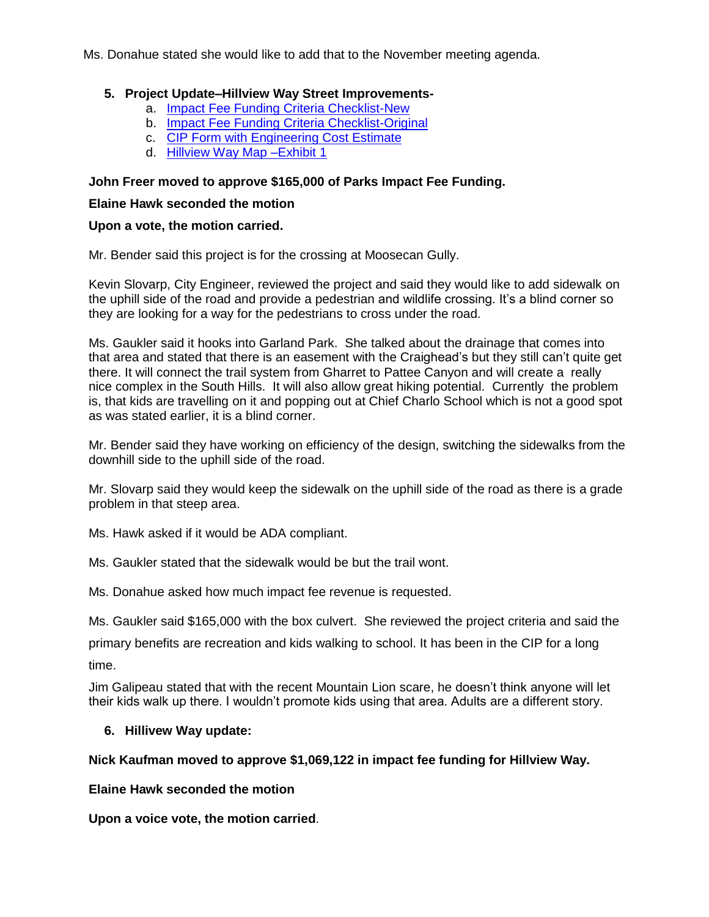Ms. Donahue stated she would like to add that to the November meeting agenda.

#### **5. Project Update–Hillview Way Street Improvements-**

- a. [Impact Fee Funding Criteria Checklist-](http://www.ci.missoula.mt.us/DocumentCenter/View/25497)New
- b. [Impact Fee Funding Criteria Checklist-Original](http://www.ci.missoula.mt.us/DocumentCenter/View/25509)
- c. CIP Form [with Engineering Cost Estimate](http://www.ci.missoula.mt.us/DocumentCenter/View/25498)
- d. [Hillview Way Map –Exhibit 1](http://www.ci.missoula.mt.us/DocumentCenter/View/25496)

#### **John Freer moved to approve \$165,000 of Parks Impact Fee Funding.**

#### **Elaine Hawk seconded the motion**

#### **Upon a vote, the motion carried.**

Mr. Bender said this project is for the crossing at Moosecan Gully.

Kevin Slovarp, City Engineer, reviewed the project and said they would like to add sidewalk on the uphill side of the road and provide a pedestrian and wildlife crossing. It's a blind corner so they are looking for a way for the pedestrians to cross under the road.

Ms. Gaukler said it hooks into Garland Park. She talked about the drainage that comes into that area and stated that there is an easement with the Craighead's but they still can't quite get there. It will connect the trail system from Gharret to Pattee Canyon and will create a really nice complex in the South Hills. It will also allow great hiking potential. Currently the problem is, that kids are travelling on it and popping out at Chief Charlo School which is not a good spot as was stated earlier, it is a blind corner.

Mr. Bender said they have working on efficiency of the design, switching the sidewalks from the downhill side to the uphill side of the road.

Mr. Slovarp said they would keep the sidewalk on the uphill side of the road as there is a grade problem in that steep area.

Ms. Hawk asked if it would be ADA compliant.

Ms. Gaukler stated that the sidewalk would be but the trail wont.

Ms. Donahue asked how much impact fee revenue is requested.

Ms. Gaukler said \$165,000 with the box culvert. She reviewed the project criteria and said the

primary benefits are recreation and kids walking to school. It has been in the CIP for a long time.

Jim Galipeau stated that with the recent Mountain Lion scare, he doesn't think anyone will let their kids walk up there. I wouldn't promote kids using that area. Adults are a different story.

#### **6. Hillivew Way update:**

#### **Nick Kaufman moved to approve \$1,069,122 in impact fee funding for Hillview Way.**

#### **Elaine Hawk seconded the motion**

**Upon a voice vote, the motion carried**.